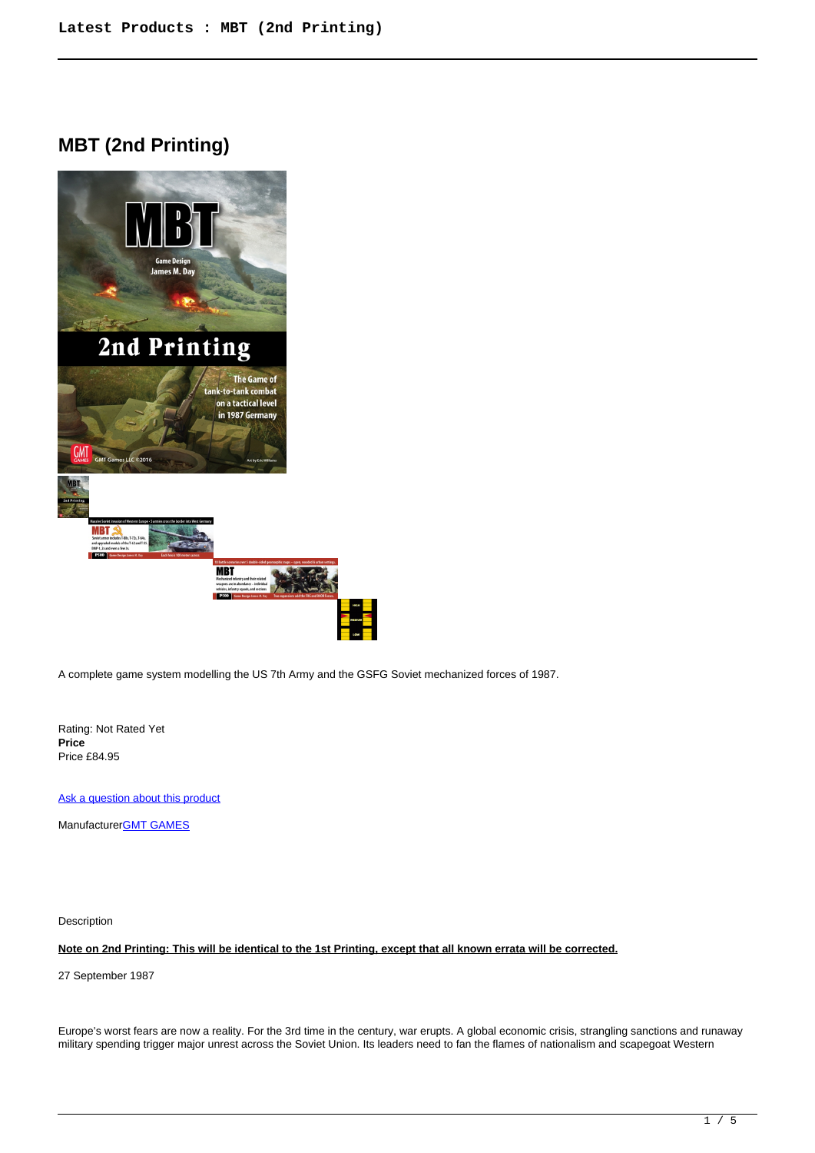## **MBT (2nd Printing)**



A complete game system modelling the US 7th Army and the GSFG Soviet mechanized forces of 1987.

Rating: Not Rated Yet **Price**  Price £84.95

[Ask a question about this product](https://www.secondchancegames.com/index.php?option=com_virtuemart&view=productdetails&task=askquestion&virtuemart_product_id=13211&virtuemart_category_id=38&tmpl=component)

Manufacturer[GMT GAMES](https://www.secondchancegames.com/index.php?option=com_virtuemart&view=manufacturer&virtuemart_manufacturer_id=2519&tmpl=component)

Description

**Note on 2nd Printing: This will be identical to the 1st Printing, except that all known errata will be corrected.**

27 September 1987

Europe's worst fears are now a reality. For the 3rd time in the century, war erupts. A global economic crisis, strangling sanctions and runaway military spending trigger major unrest across the Soviet Union. Its leaders need to fan the flames of nationalism and scapegoat Western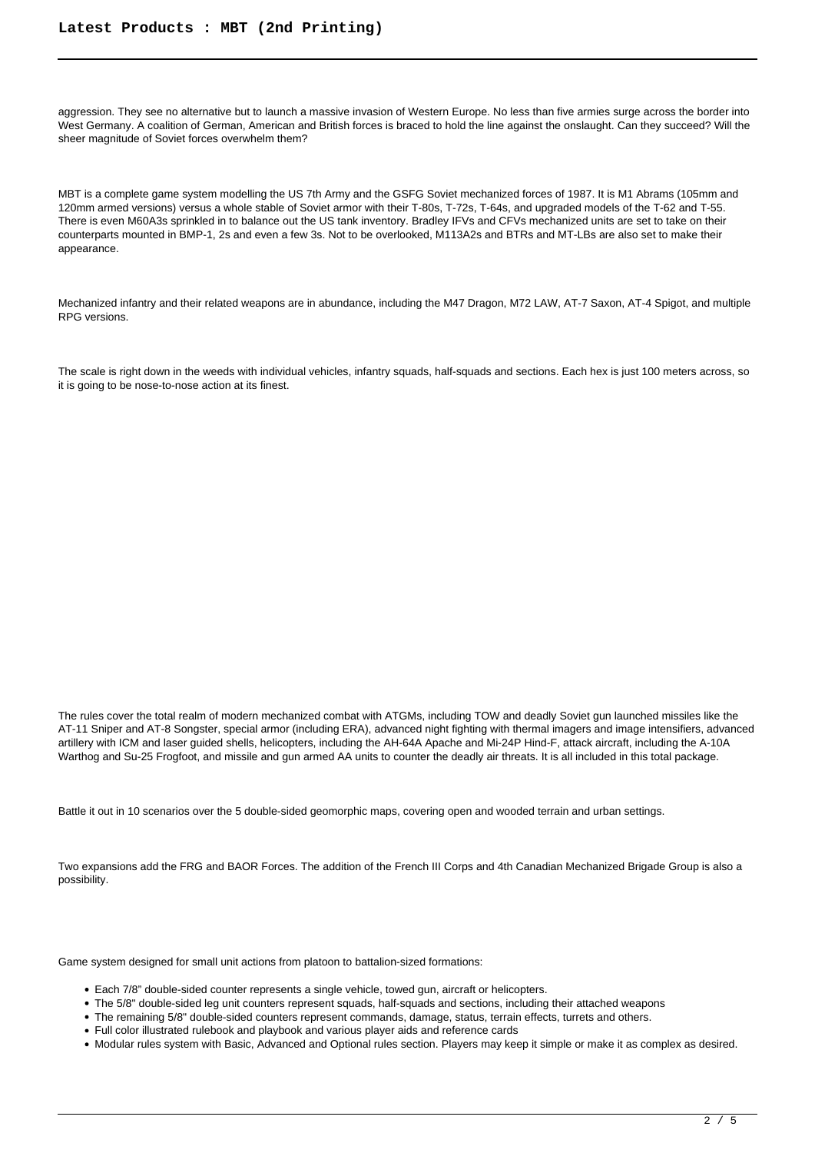aggression. They see no alternative but to launch a massive invasion of Western Europe. No less than five armies surge across the border into West Germany. A coalition of German, American and British forces is braced to hold the line against the onslaught. Can they succeed? Will the sheer magnitude of Soviet forces overwhelm them?

MBT is a complete game system modelling the US 7th Army and the GSFG Soviet mechanized forces of 1987. It is M1 Abrams (105mm and 120mm armed versions) versus a whole stable of Soviet armor with their T-80s, T-72s, T-64s, and upgraded models of the T-62 and T-55. There is even M60A3s sprinkled in to balance out the US tank inventory. Bradley IFVs and CFVs mechanized units are set to take on their counterparts mounted in BMP-1, 2s and even a few 3s. Not to be overlooked, M113A2s and BTRs and MT-LBs are also set to make their appearance.

Mechanized infantry and their related weapons are in abundance, including the M47 Dragon, M72 LAW, AT-7 Saxon, AT-4 Spigot, and multiple RPG versions.

The scale is right down in the weeds with individual vehicles, infantry squads, half-squads and sections. Each hex is just 100 meters across, so it is going to be nose-to-nose action at its finest.

The rules cover the total realm of modern mechanized combat with ATGMs, including TOW and deadly Soviet gun launched missiles like the AT-11 Sniper and AT-8 Songster, special armor (including ERA), advanced night fighting with thermal imagers and image intensifiers, advanced artillery with ICM and laser guided shells, helicopters, including the AH-64A Apache and Mi-24P Hind-F, attack aircraft, including the A-10A Warthog and Su-25 Frogfoot, and missile and gun armed AA units to counter the deadly air threats. It is all included in this total package.

Battle it out in 10 scenarios over the 5 double-sided geomorphic maps, covering open and wooded terrain and urban settings.

Two expansions add the FRG and BAOR Forces. The addition of the French III Corps and 4th Canadian Mechanized Brigade Group is also a possibility.

Game system designed for small unit actions from platoon to battalion-sized formations:

- Each 7/8" double-sided counter represents a single vehicle, towed gun, aircraft or helicopters.
- The 5/8" double-sided leg unit counters represent squads, half-squads and sections, including their attached weapons
- The remaining 5/8" double-sided counters represent commands, damage, status, terrain effects, turrets and others.
- Full color illustrated rulebook and playbook and various player aids and reference cards
- Modular rules system with Basic, Advanced and Optional rules section. Players may keep it simple or make it as complex as desired.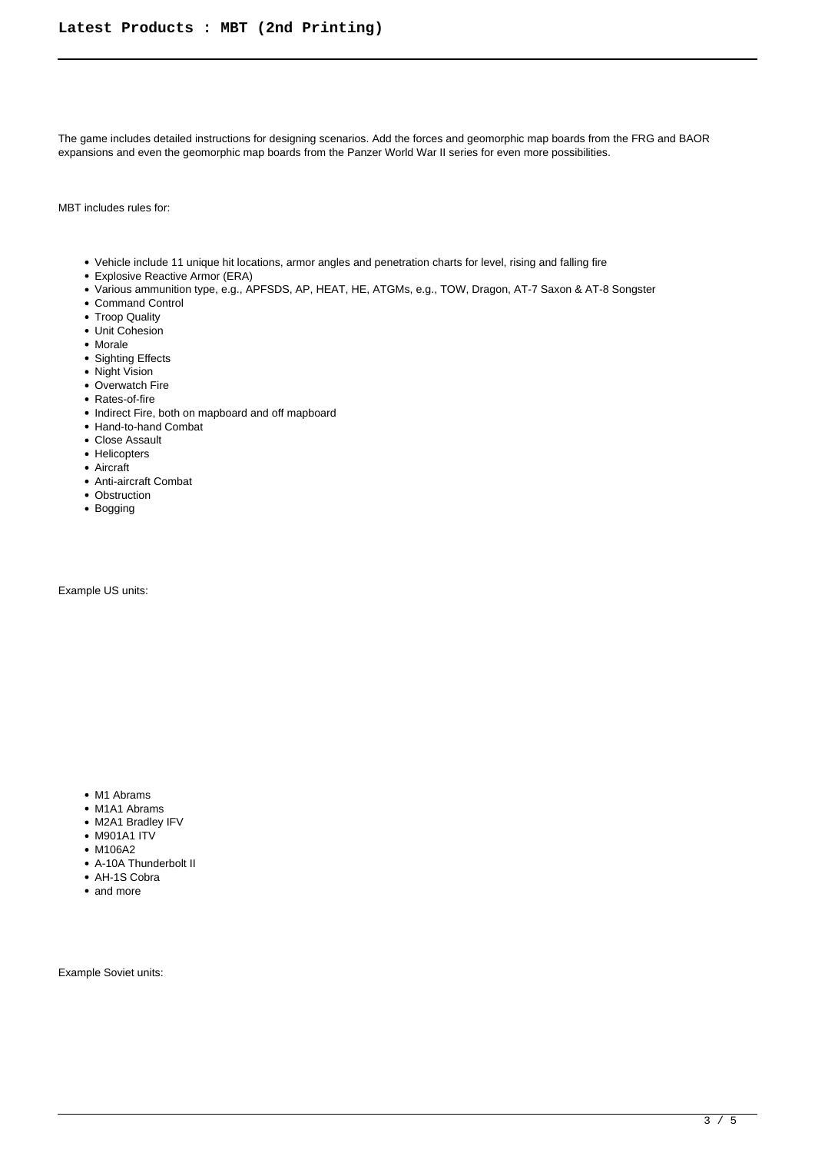The game includes detailed instructions for designing scenarios. Add the forces and geomorphic map boards from the FRG and BAOR expansions and even the geomorphic map boards from the Panzer World War II series for even more possibilities.

MBT includes rules for:

- Vehicle include 11 unique hit locations, armor angles and penetration charts for level, rising and falling fire
- Explosive Reactive Armor (ERA)
- Various ammunition type, e.g., APFSDS, AP, HEAT, HE, ATGMs, e.g., TOW, Dragon, AT-7 Saxon & AT-8 Songster
- Command Control
- Troop Quality
- Unit Cohesion
- Morale
- Sighting Effects
- Night Vision
- Overwatch Fire
- Rates-of-fire
- Indirect Fire, both on mapboard and off mapboard
- Hand-to-hand Combat
- Close Assault
- Helicopters
- Aircraft
- Anti-aircraft Combat
- Obstruction
- Bogging

Example US units:

- M1 Abrams
- M1A1 Abrams
- M2A1 Bradley IFV
- M901A1 ITV
- M106A2
- A-10A Thunderbolt II
- AH-1S Cobra
- and more

Example Soviet units: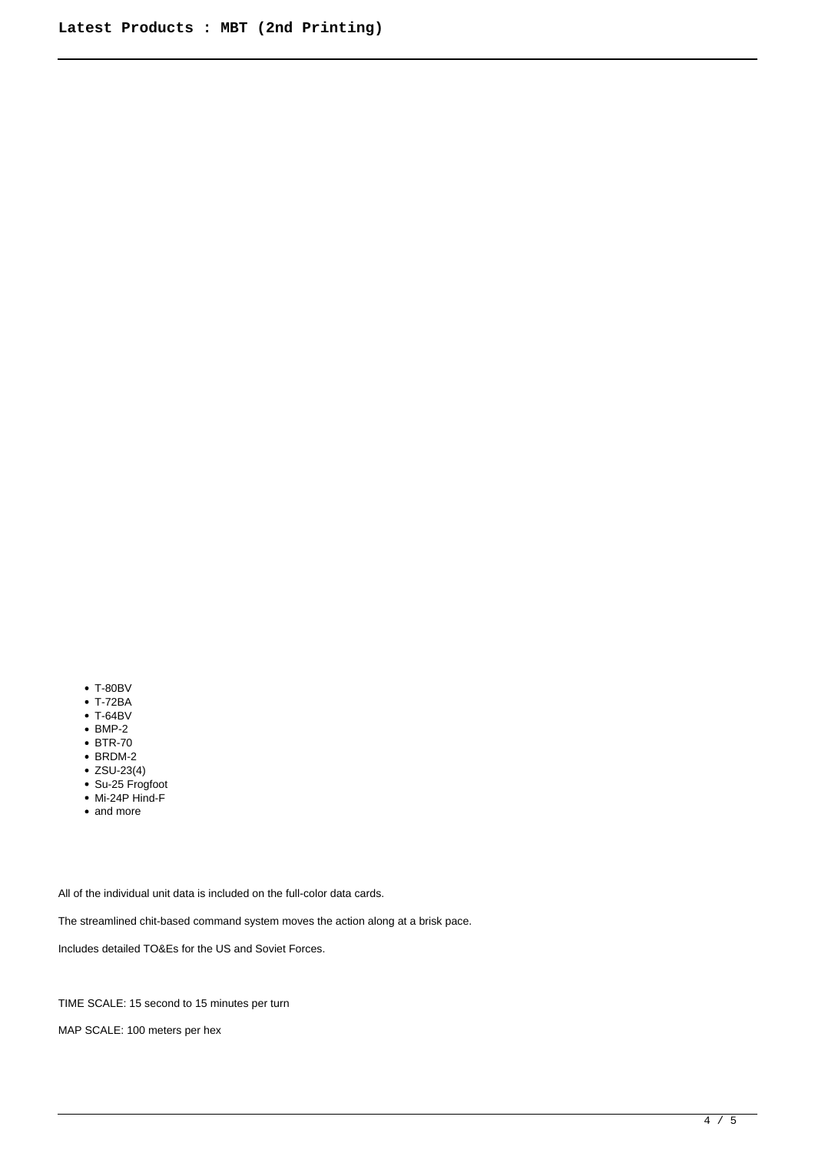- T-80BV
- T-72BA
- T-64BV
- $\bullet$  BMP-2
- BTR-70
- $\bullet$  BRDM-2
- $•$  ZSU-23(4)
- Su-25 Frogfoot
- Mi-24P Hind-F
- and more

All of the individual unit data is included on the full-color data cards.

The streamlined chit-based command system moves the action along at a brisk pace.

Includes detailed TO&Es for the US and Soviet Forces.

TIME SCALE: 15 second to 15 minutes per turn

MAP SCALE: 100 meters per hex